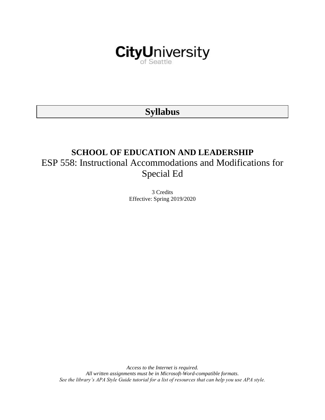

# **Syllabus**

# **SCHOOL OF EDUCATION AND LEADERSHIP** ESP 558: Instructional Accommodations and Modifications for Special Ed

3 Credits Effective: Spring 2019/2020

*Access to the Internet is required. All written assignments must be in Microsoft-Word-compatible formats. See the library's APA Style Guide tutorial for a list of resources that can help you use APA style.*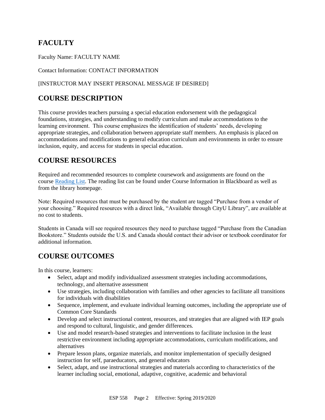# **FACULTY**

Faculty Name: FACULTY NAME

Contact Information: CONTACT INFORMATION

## [INSTRUCTOR MAY INSERT PERSONAL MESSAGE IF DESIRED]

# **COURSE DESCRIPTION**

This course provides teachers pursuing a special education endorsement with the pedagogical foundations, strategies, and understanding to modify curriculum and make accommodations to the learning environment. This course emphasizes the identification of students' needs, developing appropriate strategies, and collaboration between appropriate staff members. An emphasis is placed on accommodations and modifications to general education curriculum and environments in order to ensure inclusion, equity, and access for students in special education.

# **COURSE RESOURCES**

Required and recommended resources to complete coursework and assignments are found on the course [Reading List.](https://nam03.safelinks.protection.outlook.com/?url=https%3A%2F%2Fcityu.alma.exlibrisgroup.com%2Fleganto%2Flogin%3Fauth%3DSAML&data=04%7C01%7CMMara%40cityu.edu%7C70673ce0fe0144040eda08d87472e204%7Cb3fa96d9f5154662add763d854e39e63%7C1%7C0%7C637387384066198115%7CUnknown%7CTWFpbGZsb3d8eyJWIjoiMC4wLjAwMDAiLCJQIjoiV2luMzIiLCJBTiI6Ik1haWwiLCJXVCI6Mn0%3D%7C1000&sdata=JbwP%2Fm5Q%2BMgIUWa%2FXceos%2BoiLv0DX%2B%2FL%2BNGNMbX9P8E%3D&reserved=0) The reading list can be found under Course Information in Blackboard as well as from the library homepage.

Note: Required resources that must be purchased by the student are tagged "Purchase from a vendor of your choosing." Required resources with a direct link, "Available through CityU Library", are available at no cost to students.

Students in Canada will see required resources they need to purchase tagged "Purchase from the Canadian Bookstore." Students outside the U.S. and Canada should contact their advisor or textbook coordinator for additional information.

# **COURSE OUTCOMES**

In this course, learners:

- Select, adapt and modify individualized assessment strategies including accommodations, technology, and alternative assessment
- Use strategies, including collaboration with families and other agencies to facilitate all transitions for individuals with disabilities
- Sequence, implement, and evaluate individual learning outcomes, including the appropriate use of Common Core Standards
- Develop and select instructional content, resources, and strategies that are aligned with IEP goals and respond to cultural, linguistic, and gender differences.
- Use and model research-based strategies and interventions to facilitate inclusion in the least restrictive environment including appropriate accommodations, curriculum modifications, and alternatives
- Prepare lesson plans, organize materials, and monitor implementation of specially designed instruction for self, paraeducators, and general educators
- Select, adapt, and use instructional strategies and materials according to characteristics of the learner including social, emotional, adaptive, cognitive, academic and behavioral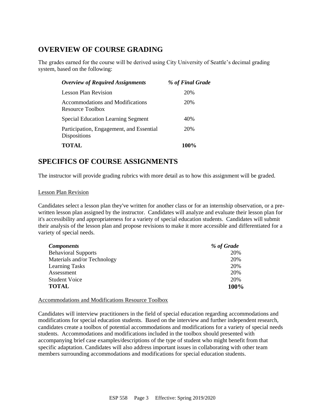# **OVERVIEW OF COURSE GRADING**

The grades earned for the course will be derived using City University of Seattle's decimal grading system, based on the following:

| <b>Overview of Required Assignments</b>                         | % of Final Grade |
|-----------------------------------------------------------------|------------------|
| Lesson Plan Revision                                            | 20%              |
| Accommodations and Modifications<br>Resource Toolbox            | 20%              |
| <b>Special Education Learning Segment</b>                       | 40%              |
| Participation, Engagement, and Essential<br><b>Dispositions</b> | 20%              |
| <b>TOTAL</b>                                                    | 100%             |

# **SPECIFICS OF COURSE ASSIGNMENTS**

The instructor will provide grading rubrics with more detail as to how this assignment will be graded.

#### Lesson Plan Revision

Candidates select a lesson plan they've written for another class or for an internship observation, or a prewritten lesson plan assigned by the instructor. Candidates will analyze and evaluate their lesson plan for it's accessibility and appropriateness for a variety of special education students. Candidates will submit their analysis of the lesson plan and propose revisions to make it more accessible and differentiated for a variety of special needs.

| <b>Components</b>           | % of Grade |
|-----------------------------|------------|
| <b>Behavioral Supports</b>  | 20%        |
| Materials and/or Technology | 20%        |
| <b>Learning Tasks</b>       | 20%        |
| Assessment                  | 20%        |
| <b>Student Voice</b>        | 20%        |
| TOTAL                       | 100%       |

### Accommodations and Modifications Resource Toolbox

Candidates will interview practitioners in the field of special education regarding accommodations and modifications for special education students. Based on the interview and further independent research, candidates create a toolbox of potential accommodations and modifications for a variety of special needs students. Accommodations and modifications included in the toolbox should presented with accompanying brief case examples/descriptions of the type of student who might benefit from that specific adaptation. Candidates will also address important issues in collaborating with other team members surrounding accommodations and modifications for special education students.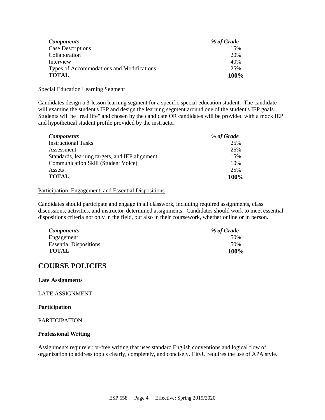| <b>Components</b>                         | % of Grade |
|-------------------------------------------|------------|
| <b>Case Descriptions</b>                  | 15%        |
| Collaboration                             | 20%        |
| Interview                                 | 40%        |
| Types of Accommodations and Modifications | 25%        |
| <b>TOTAL</b>                              | 100%       |

#### Special Education Learning Segment

Candidates design a 3-lesson learning segment for a specific special education student. The candidate will examine the student's IEP and design the learning segment around one of the student's IEP goals. Students will be "real life" and chosen by the candidate OR candidates will be provided with a mock IEP and hypothetical student profile provided by the instructor.

| <b>Components</b>                              | % of Grade |
|------------------------------------------------|------------|
| <b>Instructional Tasks</b>                     | 25%        |
| Assessment                                     | 25%        |
| Standards, learning targets, and IEP alignment | 15%        |
| <b>Communication Skill (Student Voice)</b>     | 10%        |
| Assets                                         | 25%        |
| <b>TOTAL</b>                                   | 100%       |

#### Participation, Engagement, and Essential Dispositions

Candidates should participate and engage in all classwork, including required assignments, class discussions, activities, and instructor-determined assignments. Candidates should work to meet essential dispositions criteria not only in the field, but also in their coursework, whether online or in person.

| <b>Components</b>             | % of Grade |
|-------------------------------|------------|
| Engagement                    | 50%        |
| <b>Essential Dispositions</b> | 50%        |
| <b>TOTAL</b>                  | 100%       |

# **COURSE POLICIES**

#### **Late Assignments**

LATE ASSIGNMENT

#### **Participation**

#### PARTICIPATION

#### **Professional Writing**

Assignments require error-free writing that uses standard English conventions and logical flow of organization to address topics clearly, completely, and concisely. CityU requires the use of APA style.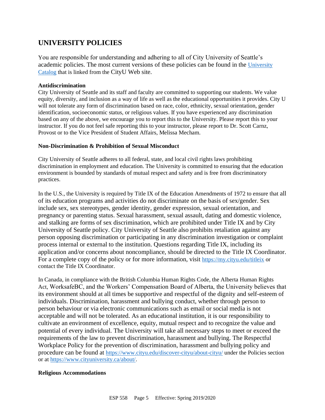# **UNIVERSITY POLICIES**

You are responsible for understanding and adhering to all of City University of Seattle's academic policies. The most current versions of these policies can be found in the [University](https://www.cityu.edu/catalog/)  [Catalog](https://www.cityu.edu/catalog/) that is linked from the CityU Web site.

#### **Antidiscrimination**

City University of Seattle and its staff and faculty are committed to supporting our students. We value equity, diversity, and inclusion as a way of life as well as the educational opportunities it provides. City U will not tolerate any form of discrimination based on race, color, ethnicity, sexual orientation, gender identification, socioeconomic status, or religious values. If you have experienced any discrimination based on any of the above, we encourage you to report this to the University. Please report this to your instructor. If you do not feel safe reporting this to your instructor, please report to Dr. Scott Carnz, Provost or to the Vice President of Student Affairs, Melissa Mecham.

### **Non-Discrimination & Prohibition of Sexual Misconduct**

City University of Seattle adheres to all federal, state, and local civil rights laws prohibiting discrimination in employment and education. The University is committed to ensuring that the education environment is bounded by standards of mutual respect and safety and is free from discriminatory practices.

In the U.S., the University is required by Title IX of the Education Amendments of 1972 to ensure that all of its education programs and activities do not discriminate on the basis of sex/gender. Sex include sex, sex stereotypes, gender identity, gender expression, sexual orientation, and pregnancy or parenting status. Sexual harassment, sexual assault, dating and domestic violence, and stalking are forms of sex discrimination, which are prohibited under Title IX and by City University of Seattle policy. City University of Seattle also prohibits retaliation against any person opposing discrimination or participating in any discrimination investigation or complaint process internal or external to the institution. Questions regarding Title IX, including its application and/or concerns about noncompliance, should be directed to the Title IX Coordinator. For a complete copy of the policy or for more information, visit <https://my.cityu.edu/titleix> or contact the Title IX Coordinator.

In Canada, in compliance with the British Columbia Human Rights Code, the Alberta Human Rights Act, WorksafeBC, and the Workers' Compensation Board of Alberta, the University believes that its environment should at all times be supportive and respectful of the dignity and self-esteem of individuals. Discrimination, harassment and bullying conduct, whether through person to person behaviour or via electronic communications such as email or social media is not acceptable and will not be tolerated. As an educational institution, it is our responsibility to cultivate an environment of excellence, equity, mutual respect and to recognize the value and potential of every individual. The University will take all necessary steps to meet or exceed the requirements of the law to prevent discrimination, harassment and bullying. The Respectful Workplace Policy for the prevention of discrimination, harassment and bullying policy and procedure can be found at <https://www.cityu.edu/discover-cityu/about-cityu/> under the Policies section or at <https://www.cityuniversity.ca/about/>.

### **Religious Accommodations**